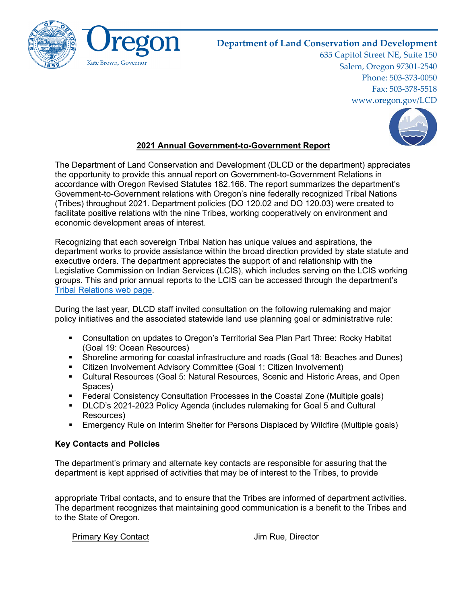

# **Department of Land Conservation and Development**

635 Capitol Street NE, Suite 150 Salem, Oregon 97301-2540 Phone: 503-373-0050 Fax: 503-378-5518 www.oregon.gov/LCD



# **2021 Annual Government-to-Government Report**

The Department of Land Conservation and Development (DLCD or the department) appreciates the opportunity to provide this annual report on Government-to-Government Relations in accordance with Oregon Revised Statutes 182.166. The report summarizes the department's Government-to-Government relations with Oregon's nine federally recognized Tribal Nations (Tribes) throughout 2021. Department policies (DO 120.02 and DO 120.03) were created to facilitate positive relations with the nine Tribes, working cooperatively on environment and economic development areas of interest.

Recognizing that each sovereign Tribal Nation has unique values and aspirations, the department works to provide assistance within the broad direction provided by state statute and executive orders. The department appreciates the support of and relationship with the Legislative Commission on Indian Services (LCIS), which includes serving on the LCIS working groups. This and prior annual reports to the LCIS can be accessed through the department's [Tribal Relations web page.](https://www.oregon.gov/lcd/About/Pages/Tribal-Relations.aspx)

During the last year, DLCD staff invited consultation on the following rulemaking and major policy initiatives and the associated statewide land use planning goal or administrative rule:

- Consultation on updates to Oregon's Territorial Sea Plan Part Three: Rocky Habitat (Goal 19: Ocean Resources)
- Shoreline armoring for coastal infrastructure and roads (Goal 18: Beaches and Dunes)
- Citizen Involvement Advisory Committee (Goal 1: Citizen Involvement)
- Cultural Resources (Goal 5: Natural Resources, Scenic and Historic Areas, and Open Spaces)
- Federal Consistency Consultation Processes in the Coastal Zone (Multiple goals)
- DLCD's 2021-2023 Policy Agenda (includes rulemaking for Goal 5 and Cultural Resources)
- Emergency Rule on Interim Shelter for Persons Displaced by Wildfire (Multiple goals)

## **Key Contacts and Policies**

The department's primary and alternate key contacts are responsible for assuring that the department is kept apprised of activities that may be of interest to the Tribes, to provide

appropriate Tribal contacts, and to ensure that the Tribes are informed of department activities. The department recognizes that maintaining good communication is a benefit to the Tribes and to the State of Oregon.

Primary Key Contact **Victor** Contact Jim Rue, Director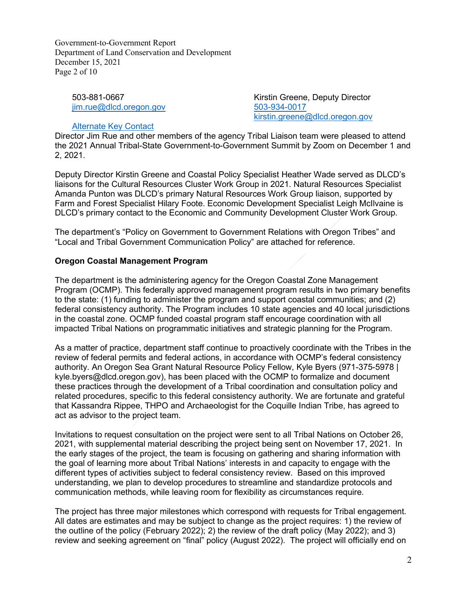Government-to-Government Report Department of Land Conservation and Development December 15, 2021 Page 2 of 10

503-881-0667 [jim.rue@dlcd.oregon.gov](mailto:jim.rue@dlcd.oregon.gov)

Kirstin Greene, Deputy Director 503-934-0017 [kirstin.greene@dlcd.oregon.gov](mailto:kirstin.greene@dlcd.oregon.gov)

#### Alternate Key Contact

Director Jim Rue and other members of the agency Tribal Liaison team were pleased to attend the 2021 Annual Tribal-State Government-to-Government Summit by Zoom on December 1 and 2, 2021.

Deputy Director Kirstin Greene and Coastal Policy Specialist Heather Wade served as DLCD's liaisons for the Cultural Resources Cluster Work Group in 2021. Natural Resources Specialist Amanda Punton was DLCD's primary Natural Resources Work Group liaison, supported by Farm and Forest Specialist Hilary Foote. Economic Development Specialist Leigh McIlvaine is DLCD's primary contact to the Economic and Community Development Cluster Work Group.

The department's "Policy on Government to Government Relations with Oregon Tribes" and "Local and Tribal Government Communication Policy" are attached for reference.

# **Oregon Coastal Management Program**

The department is the administering agency for the Oregon Coastal Zone Management Program (OCMP). This federally approved management program results in two primary benefits to the state: (1) funding to administer the program and support coastal communities; and (2) federal consistency authority. The Program includes 10 state agencies and 40 local jurisdictions in the coastal zone. OCMP funded coastal program staff encourage coordination with all impacted Tribal Nations on programmatic initiatives and strategic planning for the Program.

As a matter of practice, department staff continue to proactively coordinate with the Tribes in the review of federal permits and federal actions, in accordance with OCMP's federal consistency authority. An Oregon Sea Grant Natural Resource Policy Fellow, Kyle Byers (971-375-5978 | kyle.byers@dlcd.oregon.gov), has been placed with the OCMP to formalize and document these practices through the development of a Tribal coordination and consultation policy and related procedures, specific to this federal consistency authority. We are fortunate and grateful that Kassandra Rippee, THPO and Archaeologist for the Coquille Indian Tribe, has agreed to act as advisor to the project team.

Invitations to request consultation on the project were sent to all Tribal Nations on October 26, 2021, with supplemental material describing the project being sent on November 17, 2021. In the early stages of the project, the team is focusing on gathering and sharing information with the goal of learning more about Tribal Nations' interests in and capacity to engage with the different types of activities subject to federal consistency review. Based on this improved understanding, we plan to develop procedures to streamline and standardize protocols and communication methods, while leaving room for flexibility as circumstances require.

The project has three major milestones which correspond with requests for Tribal engagement. All dates are estimates and may be subject to change as the project requires: 1) the review of the outline of the policy (February 2022); 2) the review of the draft policy (May 2022); and 3) review and seeking agreement on "final" policy (August 2022). The project will officially end on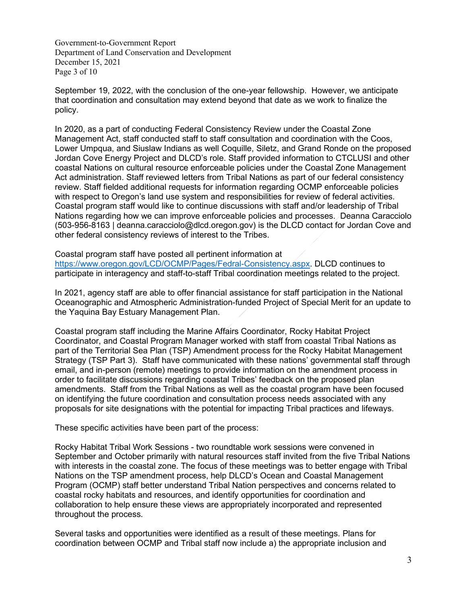Government-to-Government Report Department of Land Conservation and Development December 15, 2021 Page 3 of 10

September 19, 2022, with the conclusion of the one-year fellowship. However, we anticipate that coordination and consultation may extend beyond that date as we work to finalize the policy.

In 2020, as a part of conducting Federal Consistency Review under the Coastal Zone Management Act, staff conducted staff to staff consultation and coordination with the Coos, Lower Umpqua, and Siuslaw Indians as well Coquille, Siletz, and Grand Ronde on the proposed Jordan Cove Energy Project and DLCD's role. Staff provided information to CTCLUSI and other coastal Nations on cultural resource enforceable policies under the Coastal Zone Management Act administration. Staff reviewed letters from Tribal Nations as part of our federal consistency review. Staff fielded additional requests for information regarding OCMP enforceable policies with respect to Oregon's land use system and responsibilities for review of federal activities. Coastal program staff would like to continue discussions with staff and/or leadership of Tribal Nations regarding how we can improve enforceable policies and processes. Deanna Caracciolo (503-956-8163 | deanna.caracciolo@dlcd.oregon.gov) is the DLCD contact for Jordan Cove and other federal consistency reviews of interest to the Tribes.

Coastal program staff have posted all pertinent information at [https://www.oregon.gov/LCD/OCMP/Pages/Fedral-Consistency.aspx.](https://www.oregon.gov/LCD/OCMP/Pages/Fedral-Consistency.aspx) DLCD continues to participate in interagency and staff-to-staff Tribal coordination meetings related to the project.

In 2021, agency staff are able to offer financial assistance for staff participation in the National Oceanographic and Atmospheric Administration-funded Project of Special Merit for an update to the Yaquina Bay Estuary Management Plan.

Coastal program staff including the Marine Affairs Coordinator, Rocky Habitat Project Coordinator, and Coastal Program Manager worked with staff from coastal Tribal Nations as part of the Territorial Sea Plan (TSP) Amendment process for the Rocky Habitat Management Strategy (TSP Part 3). Staff have communicated with these nations' governmental staff through email, and in-person (remote) meetings to provide information on the amendment process in order to facilitate discussions regarding coastal Tribes' feedback on the proposed plan amendments. Staff from the Tribal Nations as well as the coastal program have been focused on identifying the future coordination and consultation process needs associated with any proposals for site designations with the potential for impacting Tribal practices and lifeways.

These specific activities have been part of the process:

Rocky Habitat Tribal Work Sessions - two roundtable work sessions were convened in September and October primarily with natural resources staff invited from the five Tribal Nations with interests in the coastal zone. The focus of these meetings was to better engage with Tribal Nations on the TSP amendment process, help DLCD's Ocean and Coastal Management Program (OCMP) staff better understand Tribal Nation perspectives and concerns related to coastal rocky habitats and resources, and identify opportunities for coordination and collaboration to help ensure these views are appropriately incorporated and represented throughout the process.

Several tasks and opportunities were identified as a result of these meetings. Plans for coordination between OCMP and Tribal staff now include a) the appropriate inclusion and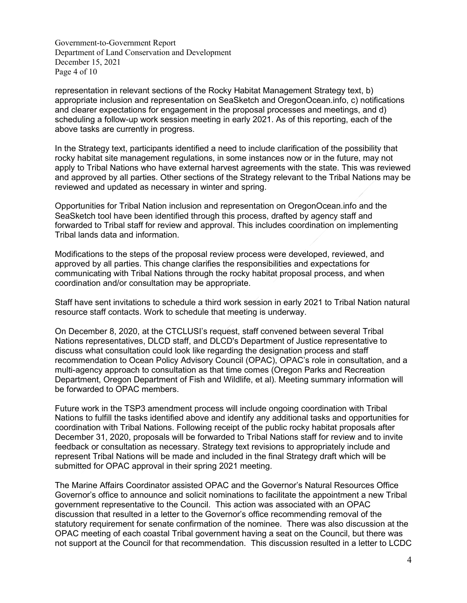Government-to-Government Report Department of Land Conservation and Development December 15, 2021 Page 4 of 10

representation in relevant sections of the Rocky Habitat Management Strategy text, b) appropriate inclusion and representation on SeaSketch and OregonOcean.info, c) notifications and clearer expectations for engagement in the proposal processes and meetings, and d) scheduling a follow-up work session meeting in early 2021. As of this reporting, each of the above tasks are currently in progress.

In the Strategy text, participants identified a need to include clarification of the possibility that rocky habitat site management regulations, in some instances now or in the future, may not apply to Tribal Nations who have external harvest agreements with the state. This was reviewed and approved by all parties. Other sections of the Strategy relevant to the Tribal Nations may be reviewed and updated as necessary in winter and spring.

Opportunities for Tribal Nation inclusion and representation on OregonOcean.info and the SeaSketch tool have been identified through this process, drafted by agency staff and forwarded to Tribal staff for review and approval. This includes coordination on implementing Tribal lands data and information.

Modifications to the steps of the proposal review process were developed, reviewed, and approved by all parties. This change clarifies the responsibilities and expectations for communicating with Tribal Nations through the rocky habitat proposal process, and when coordination and/or consultation may be appropriate.

Staff have sent invitations to schedule a third work session in early 2021 to Tribal Nation natural resource staff contacts. Work to schedule that meeting is underway.

On December 8, 2020, at the CTCLUSI's request, staff convened between several Tribal Nations representatives, DLCD staff, and DLCD's Department of Justice representative to discuss what consultation could look like regarding the designation process and staff recommendation to Ocean Policy Advisory Council (OPAC), OPAC's role in consultation, and a multi-agency approach to consultation as that time comes (Oregon Parks and Recreation Department, Oregon Department of Fish and Wildlife, et al). Meeting summary information will be forwarded to OPAC members.

Future work in the TSP3 amendment process will include ongoing coordination with Tribal Nations to fulfill the tasks identified above and identify any additional tasks and opportunities for coordination with Tribal Nations. Following receipt of the public rocky habitat proposals after December 31, 2020, proposals will be forwarded to Tribal Nations staff for review and to invite feedback or consultation as necessary. Strategy text revisions to appropriately include and represent Tribal Nations will be made and included in the final Strategy draft which will be submitted for OPAC approval in their spring 2021 meeting.

The Marine Affairs Coordinator assisted OPAC and the Governor's Natural Resources Office Governor's office to announce and solicit nominations to facilitate the appointment a new Tribal government representative to the Council. This action was associated with an OPAC discussion that resulted in a letter to the Governor's office recommending removal of the statutory requirement for senate confirmation of the nominee. There was also discussion at the OPAC meeting of each coastal Tribal government having a seat on the Council, but there was not support at the Council for that recommendation. This discussion resulted in a letter to LCDC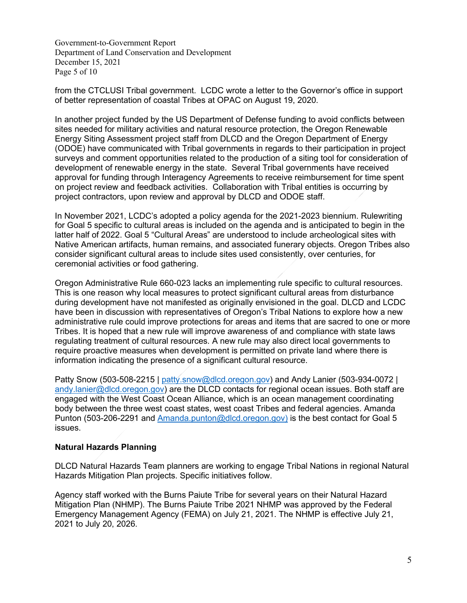Government-to-Government Report Department of Land Conservation and Development December 15, 2021 Page 5 of 10

from the CTCLUSI Tribal government. LCDC wrote a letter to the Governor's office in support of better representation of coastal Tribes at OPAC on August 19, 2020.

In another project funded by the US Department of Defense funding to avoid conflicts between sites needed for military activities and natural resource protection, the Oregon Renewable Energy Siting Assessment project staff from DLCD and the Oregon Department of Energy (ODOE) have communicated with Tribal governments in regards to their participation in project surveys and comment opportunities related to the production of a siting tool for consideration of development of renewable energy in the state. Several Tribal governments have received approval for funding through Interagency Agreements to receive reimbursement for time spent on project review and feedback activities. Collaboration with Tribal entities is occurring by project contractors, upon review and approval by DLCD and ODOE staff.

In November 2021, LCDC's adopted a policy agenda for the 2021-2023 biennium. Rulewriting for Goal 5 specific to cultural areas is included on the agenda and is anticipated to begin in the latter half of 2022. Goal 5 "Cultural Areas" are understood to include archeological sites with Native American artifacts, human remains, and associated funerary objects. Oregon Tribes also consider significant cultural areas to include sites used consistently, over centuries, for ceremonial activities or food gathering.

Oregon Administrative Rule 660-023 lacks an implementing rule specific to cultural resources. This is one reason why local measures to protect significant cultural areas from disturbance during development have not manifested as originally envisioned in the goal. DLCD and LCDC have been in discussion with representatives of Oregon's Tribal Nations to explore how a new administrative rule could improve protections for areas and items that are sacred to one or more Tribes. It is hoped that a new rule will improve awareness of and compliance with state laws regulating treatment of cultural resources. A new rule may also direct local governments to require proactive measures when development is permitted on private land where there is information indicating the presence of a significant cultural resource.

Patty Snow (503-508-2215 | [patty.snow@dlcd.oregon.gov\)](mailto:patty.snow@state.or.us) and Andy Lanier (503-934-0072 | [andy.lanier@dlcd.oregon.gov\)](mailto:andy.lanier@state.or.us) are the DLCD contacts for regional ocean issues. Both staff are engaged with the West Coast Ocean Alliance, which is an ocean management coordinating body between the three west coast states, west coast Tribes and federal agencies. Amanda Punton (503-206-2291 and [Amanda.punton@dlcd.oregon.gov\)](mailto:Amanda.punton@state.or.us) is the best contact for Goal 5 issues.

## **Natural Hazards Planning**

DLCD Natural Hazards Team planners are working to engage Tribal Nations in regional Natural Hazards Mitigation Plan projects. Specific initiatives follow.

Agency staff worked with the Burns Paiute Tribe for several years on their Natural Hazard Mitigation Plan (NHMP). The Burns Paiute Tribe 2021 NHMP was approved by the Federal Emergency Management Agency (FEMA) on July 21, 2021. The NHMP is effective July 21, 2021 to July 20, 2026.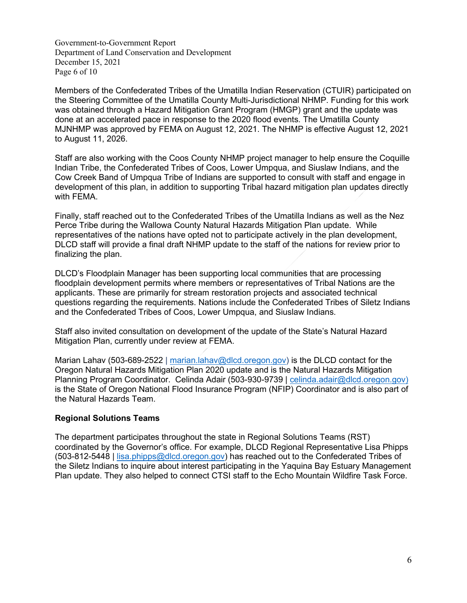Government-to-Government Report Department of Land Conservation and Development December 15, 2021 Page 6 of 10

Members of the Confederated Tribes of the Umatilla Indian Reservation (CTUIR) participated on the Steering Committee of the Umatilla County Multi-Jurisdictional NHMP. Funding for this work was obtained through a Hazard Mitigation Grant Program (HMGP) grant and the update was done at an accelerated pace in response to the 2020 flood events. The Umatilla County MJNHMP was approved by FEMA on August 12, 2021. The NHMP is effective August 12, 2021 to August 11, 2026.

Staff are also working with the Coos County NHMP project manager to help ensure the Coquille Indian Tribe, the Confederated Tribes of Coos, Lower Umpqua, and Siuslaw Indians, and the Cow Creek Band of Umpqua Tribe of Indians are supported to consult with staff and engage in development of this plan, in addition to supporting Tribal hazard mitigation plan updates directly with FEMA.

Finally, staff reached out to the Confederated Tribes of the Umatilla Indians as well as the Nez Perce Tribe during the Wallowa County Natural Hazards Mitigation Plan update. While representatives of the nations have opted not to participate actively in the plan development, DLCD staff will provide a final draft NHMP update to the staff of the nations for review prior to finalizing the plan.

DLCD's Floodplain Manager has been supporting local communities that are processing floodplain development permits where members or representatives of Tribal Nations are the applicants. These are primarily for stream restoration projects and associated technical questions regarding the requirements. Nations include the Confederated Tribes of Siletz Indians and the Confederated Tribes of Coos, Lower Umpqua, and Siuslaw Indians.

Staff also invited consultation on development of the update of the State's Natural Hazard Mitigation Plan, currently under review at FEMA.

Marian Lahav (503-689-2522 | [marian.lahav@dlcd.oregon.gov\)](mailto:marian.lahav@state.or.us) is the DLCD contact for the Oregon Natural Hazards Mitigation Plan 2020 update and is the Natural Hazards Mitigation Planning Program Coordinator. Celinda Adair (503-930-9739 | [celinda.adair@dlcd.oregon.gov\)](mailto:celinda.adair@state.or.us) is the State of Oregon National Flood Insurance Program (NFIP) Coordinator and is also part of the Natural Hazards Team.

#### **Regional Solutions Teams**

The department participates throughout the state in Regional Solutions Teams (RST) coordinated by the Governor's office. For example, DLCD Regional Representative Lisa Phipps (503-812-5448 | lisa.phipps@dlcd.oregon.gov) has reached out to the Confederated Tribes of the Siletz Indians to inquire about interest participating in the Yaquina Bay Estuary Management Plan update. They also helped to connect CTSI staff to the Echo Mountain Wildfire Task Force.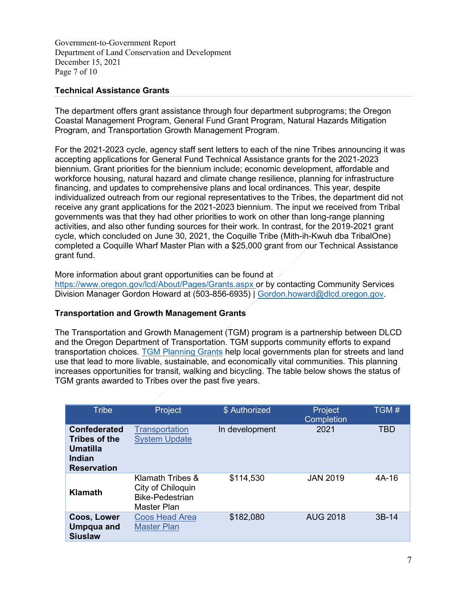Government-to-Government Report Department of Land Conservation and Development December 15, 2021 Page 7 of 10

# **Technical Assistance Grants**

The department offers grant assistance through four department subprograms; the Oregon Coastal Management Program, General Fund Grant Program, Natural Hazards Mitigation Program, and Transportation Growth Management Program.

For the 2021-2023 cycle, agency staff sent letters to each of the nine Tribes announcing it was accepting applications for General Fund Technical Assistance grants for the 2021-2023 biennium. Grant priorities for the biennium include; economic development, affordable and workforce housing, natural hazard and climate change resilience, planning for infrastructure financing, and updates to comprehensive plans and local ordinances. This year, despite individualized outreach from our regional representatives to the Tribes, the department did not receive any grant applications for the 2021-2023 biennium. The input we received from Tribal governments was that they had other priorities to work on other than long-range planning activities, and also other funding sources for their work. In contrast, for the 2019-2021 grant cycle, which concluded on June 30, 2021, the Coquille Tribe (Mith-ih-Kwuh dba TribalOne) completed a Coquille Wharf Master Plan with a \$25,000 grant from our Technical Assistance grant fund.

More information about grant opportunities can be found at

<https://www.oregon.gov/lcd/About/Pages/Grants.aspx> or by contacting Community Services Division Manager Gordon Howard at (503-856-6935) | [Gordon.howard@dlcd.oregon.gov.](mailto:Gordon.howard@state.or.us)

## **Transportation and Growth Management Grants**

The Transportation and Growth Management (TGM) program is a partnership between DLCD and the Oregon Department of Transportation. TGM supports community efforts to expand transportation choices. [TGM Planning Grants](https://www.oregon.gov/lcd/tgm/pages/planning-grants.aspx) help local governments plan for streets and land use that lead to more livable, sustainable, and economically vital communities. This planning increases opportunities for transit, walking and bicycling. The table below shows the status of TGM grants awarded to Tribes over the past five years.

| <b>Tribe</b>                                                                            | Project                                                                        | \$ Authorized  | Project<br>Completion | TGM#       |
|-----------------------------------------------------------------------------------------|--------------------------------------------------------------------------------|----------------|-----------------------|------------|
| <b>Confederated</b><br>Tribes of the<br><b>Umatilla</b><br>Indian<br><b>Reservation</b> | Transportation<br><b>System Update</b>                                         | In development | 2021                  | <b>TBD</b> |
| <b>Klamath</b>                                                                          | Klamath Tribes &<br>City of Chiloquin<br><b>Bike-Pedestrian</b><br>Master Plan | \$114,530      | <b>JAN 2019</b>       | 4A-16      |
| Coos, Lower<br><b>Umpqua and</b><br><b>Siuslaw</b>                                      | <b>Coos Head Area</b><br><b>Master Plan</b>                                    | \$182,080      | <b>AUG 2018</b>       | $3B-14$    |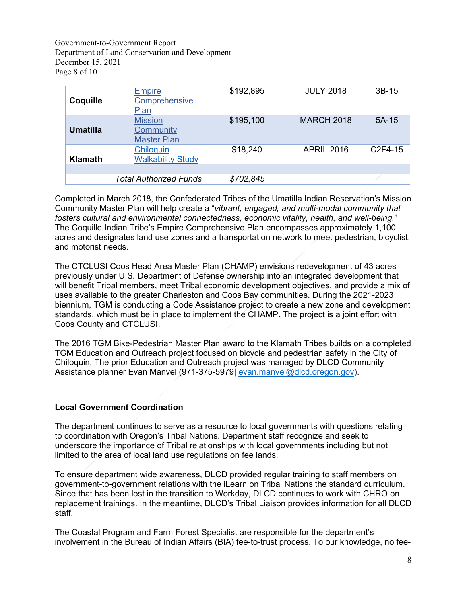Government-to-Government Report Department of Land Conservation and Development December 15, 2021 Page 8 of 10

| Coquille        | <b>Empire</b><br>Comprehensive<br>Plan            | \$192,895 | <b>JULY 2018</b>  | $3B-15$             |
|-----------------|---------------------------------------------------|-----------|-------------------|---------------------|
| <b>Umatilla</b> | <b>Mission</b><br>Community<br><b>Master Plan</b> | \$195,100 | <b>MARCH 2018</b> | $5A-15$             |
| Klamath         | Chiloquin<br><b>Walkability Study</b>             | \$18,240  | <b>APRIL 2016</b> | C <sub>2F4-15</sub> |
|                 | <b>Total Authorized Funds</b>                     | \$702,845 |                   |                     |

Completed in March 2018, the Confederated Tribes of the Umatilla Indian Reservation's Mission Community Master Plan will help create a "*vibrant, engaged, and multi-modal community that fosters cultural and environmental connectedness, economic vitality, health, and well-being.*" The Coquille Indian Tribe's Empire Comprehensive Plan encompasses approximately 1,100 acres and designates land use zones and a transportation network to meet pedestrian, bicyclist, and motorist needs.

The CTCLUSI Coos Head Area Master Plan (CHAMP) envisions redevelopment of 43 acres previously under U.S. Department of Defense ownership into an integrated development that will benefit Tribal members, meet Tribal economic development objectives, and provide a mix of uses available to the greater Charleston and Coos Bay communities. During the 2021-2023 biennium, TGM is conducting a Code Assistance project to create a new zone and development standards, which must be in place to implement the CHAMP. The project is a joint effort with Coos County and CTCLUSI.

The 2016 TGM Bike-Pedestrian Master Plan award to the Klamath Tribes builds on a completed TGM Education and Outreach project focused on bicycle and pedestrian safety in the City of Chiloquin. The prior Education and Outreach project was managed by DLCD Community Assistance planner Evan Manvel (971-375-5979| [evan.manvel@dlcd.oregon.gov\)](mailto:evan.manvel@dlcd.oregon.gov).

## **Local Government Coordination**

The department continues to serve as a resource to local governments with questions relating to coordination with Oregon's Tribal Nations. Department staff recognize and seek to underscore the importance of Tribal relationships with local governments including but not limited to the area of local land use regulations on fee lands.

To ensure department wide awareness, DLCD provided regular training to staff members on government-to-government relations with the iLearn on Tribal Nations the standard curriculum. Since that has been lost in the transition to Workday, DLCD continues to work with CHRO on replacement trainings. In the meantime, DLCD's Tribal Liaison provides information for all DLCD staff.

The Coastal Program and Farm Forest Specialist are responsible for the department's involvement in the Bureau of Indian Affairs (BIA) fee-to-trust process. To our knowledge, no fee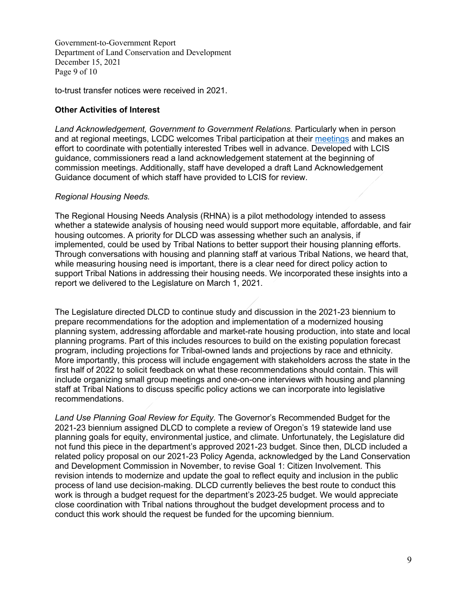Government-to-Government Report Department of Land Conservation and Development December 15, 2021 Page 9 of 10

to-trust transfer notices were received in 2021.

# **Other Activities of Interest**

*Land Acknowledgement, Government to Government Relations.* Particularly when in person and at regional meetings, LCDC welcomes Tribal participation at their [meetings](https://www.oregon.gov/lcd/commission/pages/meetings.aspx?utm_source=LCD&utm_medium=egov_redirect&utm_campaign=https%3A%2F%2Foregon.gov%2Flcd%2Fpages%2Fmeetings.aspx) and makes an effort to coordinate with potentially interested Tribes well in advance. Developed with LCIS guidance, commissioners read a land acknowledgement statement at the beginning of commission meetings. Additionally, staff have developed a draft Land Acknowledgement Guidance document of which staff have provided to LCIS for review.

## *Regional Housing Needs.*

The Regional Housing Needs Analysis (RHNA) is a pilot methodology intended to assess whether a statewide analysis of housing need would support more equitable, affordable, and fair housing outcomes. A priority for DLCD was assessing whether such an analysis, if implemented, could be used by Tribal Nations to better support their housing planning efforts. Through conversations with housing and planning staff at various Tribal Nations, we heard that, while measuring housing need is important, there is a clear need for direct policy action to support Tribal Nations in addressing their housing needs. We incorporated these insights into a report we delivered to the Legislature on March 1, 2021.

The Legislature directed DLCD to continue study and discussion in the 2021-23 biennium to prepare recommendations for the adoption and implementation of a modernized housing planning system, addressing affordable and market-rate housing production, into state and local planning programs. Part of this includes resources to build on the existing population forecast program, including projections for Tribal-owned lands and projections by race and ethnicity. More importantly, this process will include engagement with stakeholders across the state in the first half of 2022 to solicit feedback on what these recommendations should contain. This will include organizing small group meetings and one-on-one interviews with housing and planning staff at Tribal Nations to discuss specific policy actions we can incorporate into legislative recommendations.

*Land Use Planning Goal Review for Equity.* The Governor's Recommended Budget for the 2021-23 biennium assigned DLCD to complete a review of Oregon's 19 statewide land use planning goals for equity, environmental justice, and climate. Unfortunately, the Legislature did not fund this piece in the department's approved 2021-23 budget. Since then, DLCD included a related policy proposal on our 2021-23 Policy Agenda, acknowledged by the Land Conservation and Development Commission in November, to revise Goal 1: Citizen Involvement. This revision intends to modernize and update the goal to reflect equity and inclusion in the public process of land use decision-making. DLCD currently believes the best route to conduct this work is through a budget request for the department's 2023-25 budget. We would appreciate close coordination with Tribal nations throughout the budget development process and to conduct this work should the request be funded for the upcoming biennium.